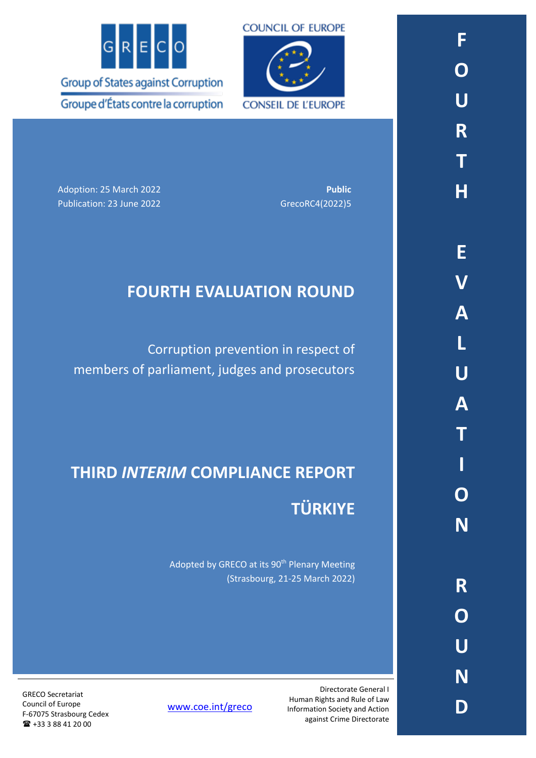



Adoption: 25 March 2022 **Public** Publication: 23 June 2022 GrecoRC4(2022)5

# **FOURTH EVALUATION ROUND**

Corruption prevention in respect of members of parliament, judges and prosecutors

# **THIRD** *INTERIM* **COMPLIANCE REPORT TÜRKIYE**

Adopted by GRECO at its 90<sup>th</sup> Plenary Meeting (Strasbourg, 21-25 March 2022)

GRECO Secretariat Council of Europe F-67075 Strasbourg Cedex +33 3 88 41 20 00

[www.coe.int/greco](http://www.coe.int/greco)

Directorate General I Human Rights and Rule of Law Information Society and Action against Crime Directorate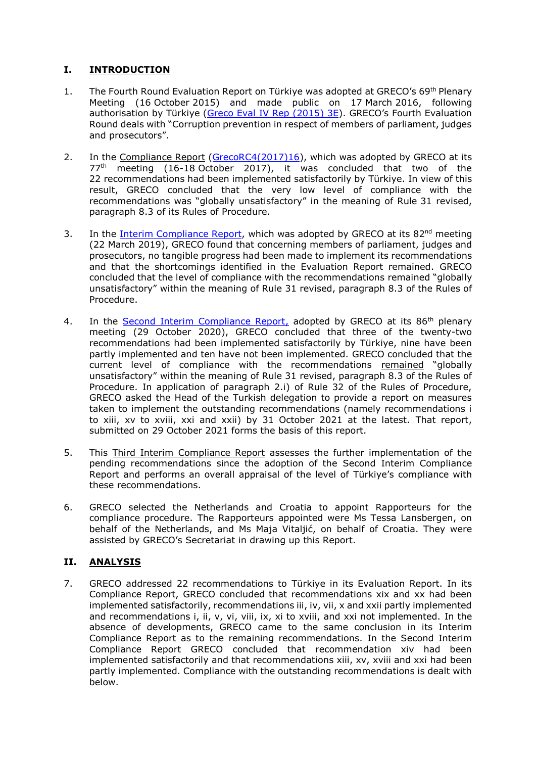# **I. INTRODUCTION**

- 1. The Fourth Round Evaluation Report on Türkiye was adopted at GRECO's 69<sup>th</sup> Plenary Meeting (16 October 2015) and made public on 17 March 2016, following authorisation by Türkiye [\(Greco Eval IV Rep \(2015\) 3E\)](https://rm.coe.int/16806c9d29). GRECO's Fourth Evaluation Round deals with "Corruption prevention in respect of members of parliament, judges and prosecutors".
- 2. In the Compliance Report [\(GrecoRC4\(2017\)16\)](https://rm.coe.int/fourth-evaluation-round-corruption-prevention-in-respect-of-members-of/1680792de8), which was adopted by GRECO at its  $77<sup>th</sup>$  meeting (16-18 October 2017), it was concluded that two of the 22 recommendations had been implemented satisfactorily by Türkiye. In view of this result, GRECO concluded that the very low level of compliance with the recommendations was "globally unsatisfactory" in the meaning of Rule 31 revised, paragraph 8.3 of its Rules of Procedure.
- 3. In the *Interim Compliance Report*, which was adopted by GRECO at its 82<sup>nd</sup> meeting (22 March 2019), GRECO found that concerning members of parliament, judges and prosecutors, no tangible progress had been made to implement its recommendations and that the shortcomings identified in the Evaluation Report remained. GRECO concluded that the level of compliance with the recommendations remained "globally unsatisfactory" within the meaning of Rule 31 revised, paragraph 8.3 of the Rules of Procedure.
- 4. In the [Second Interim Compliance Report,](https://rm.coe.int/fourth-evaluation-round-corruption-prevention-in-respect-of-members-of/1680a1cac3) adopted by GRECO at its 86<sup>th</sup> plenary meeting (29 October 2020), GRECO concluded that three of the twenty-two recommendations had been implemented satisfactorily by Türkiye, nine have been partly implemented and ten have not been implemented. GRECO concluded that the current level of compliance with the recommendations remained "globally unsatisfactory" within the meaning of Rule 31 revised, paragraph 8.3 of the Rules of Procedure. In application of paragraph 2.i) of Rule 32 of the Rules of Procedure, GRECO asked the Head of the Turkish delegation to provide a report on measures taken to implement the outstanding recommendations (namely recommendations i to xiii, xv to xviii, xxi and xxii) by 31 October 2021 at the latest. That report, submitted on 29 October 2021 forms the basis of this report.
- 5. This Third Interim Compliance Report assesses the further implementation of the pending recommendations since the adoption of the Second Interim Compliance Report and performs an overall appraisal of the level of Türkiye's compliance with these recommendations.
- 6. GRECO selected the Netherlands and Croatia to appoint Rapporteurs for the compliance procedure. The Rapporteurs appointed were Ms Tessa Lansbergen, on behalf of the Netherlands, and Ms Maja Vitaljić, on behalf of Croatia. They were assisted by GRECO's Secretariat in drawing up this Report.

# **II. ANALYSIS**

7. GRECO addressed 22 recommendations to Türkiye in its Evaluation Report. In its Compliance Report, GRECO concluded that recommendations xix and xx had been implemented satisfactorily, recommendations iii, iv, vii, x and xxii partly implemented and recommendations i, ii, v, vi, viii, ix, xi to xviii, and xxi not implemented. In the absence of developments, GRECO came to the same conclusion in its Interim Compliance Report as to the remaining recommendations. In the Second Interim Compliance Report GRECO concluded that recommendation xiv had been implemented satisfactorily and that recommendations xiii, xv, xviii and xxi had been partly implemented. Compliance with the outstanding recommendations is dealt with below.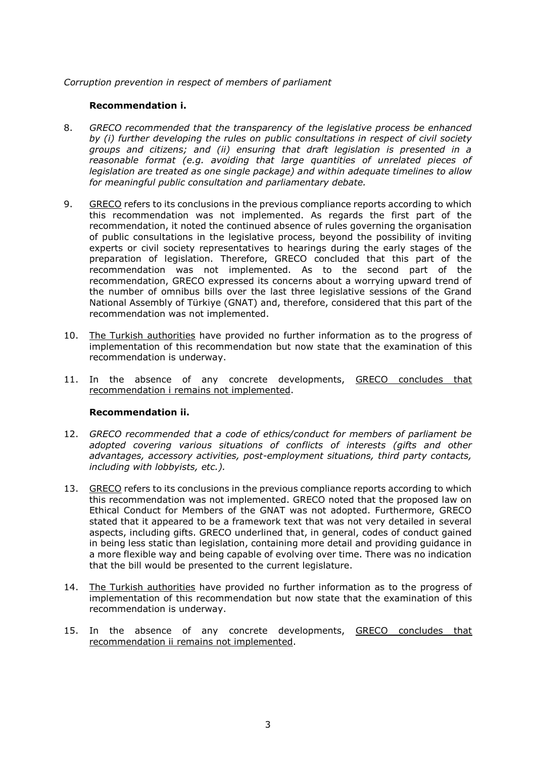#### *Corruption prevention in respect of members of parliament*

#### **Recommendation i.**

- 8. *GRECO recommended that the transparency of the legislative process be enhanced by (i) further developing the rules on public consultations in respect of civil society groups and citizens; and (ii) ensuring that draft legislation is presented in a reasonable format (e.g. avoiding that large quantities of unrelated pieces of legislation are treated as one single package) and within adequate timelines to allow for meaningful public consultation and parliamentary debate.*
- 9. GRECO refers to its conclusions in the previous compliance reports according to which this recommendation was not implemented. As regards the first part of the recommendation, it noted the continued absence of rules governing the organisation of public consultations in the legislative process, beyond the possibility of inviting experts or civil society representatives to hearings during the early stages of the preparation of legislation. Therefore, GRECO concluded that this part of the recommendation was not implemented. As to the second part of the recommendation, GRECO expressed its concerns about a worrying upward trend of the number of omnibus bills over the last three legislative sessions of the Grand National Assembly of Türkiye (GNAT) and, therefore, considered that this part of the recommendation was not implemented.
- 10. The Turkish authorities have provided no further information as to the progress of implementation of this recommendation but now state that the examination of this recommendation is underway.
- 11. In the absence of any concrete developments, GRECO concludes that recommendation i remains not implemented.

#### **Recommendation ii.**

- 12. *GRECO recommended that a code of ethics/conduct for members of parliament be adopted covering various situations of conflicts of interests (gifts and other advantages, accessory activities, post-employment situations, third party contacts, including with lobbyists, etc.).*
- 13. GRECO refers to its conclusions in the previous compliance reports according to which this recommendation was not implemented. GRECO noted that the proposed law on Ethical Conduct for Members of the GNAT was not adopted. Furthermore, GRECO stated that it appeared to be a framework text that was not very detailed in several aspects, including gifts. GRECO underlined that, in general, codes of conduct gained in being less static than legislation, containing more detail and providing guidance in a more flexible way and being capable of evolving over time. There was no indication that the bill would be presented to the current legislature.
- 14. The Turkish authorities have provided no further information as to the progress of implementation of this recommendation but now state that the examination of this recommendation is underway.
- 15. In the absence of any concrete developments, GRECO concludes that recommendation ii remains not implemented.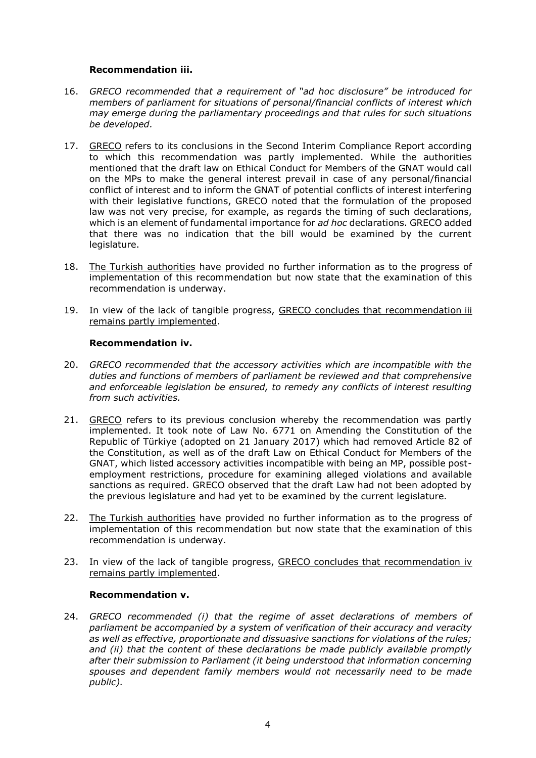#### **Recommendation iii.**

- 16. *GRECO recommended that a requirement of "ad hoc disclosure" be introduced for members of parliament for situations of personal/financial conflicts of interest which may emerge during the parliamentary proceedings and that rules for such situations be developed.*
- 17. GRECO refers to its conclusions in the Second Interim Compliance Report according to which this recommendation was partly implemented. While the authorities mentioned that the draft law on Ethical Conduct for Members of the GNAT would call on the MPs to make the general interest prevail in case of any personal/financial conflict of interest and to inform the GNAT of potential conflicts of interest interfering with their legislative functions, GRECO noted that the formulation of the proposed law was not very precise, for example, as regards the timing of such declarations, which is an element of fundamental importance for *ad hoc* declarations. GRECO added that there was no indication that the bill would be examined by the current legislature.
- 18. The Turkish authorities have provided no further information as to the progress of implementation of this recommendation but now state that the examination of this recommendation is underway.
- 19. In view of the lack of tangible progress, GRECO concludes that recommendation iii remains partly implemented.

#### **Recommendation iv.**

- 20. *GRECO recommended that the accessory activities which are incompatible with the duties and functions of members of parliament be reviewed and that comprehensive and enforceable legislation be ensured, to remedy any conflicts of interest resulting from such activities.*
- 21. GRECO refers to its previous conclusion whereby the recommendation was partly implemented. It took note of Law No. 6771 on Amending the Constitution of the Republic of Türkiye (adopted on 21 January 2017) which had removed Article 82 of the Constitution, as well as of the draft Law on Ethical Conduct for Members of the GNAT, which listed accessory activities incompatible with being an MP, possible postemployment restrictions, procedure for examining alleged violations and available sanctions as required. GRECO observed that the draft Law had not been adopted by the previous legislature and had yet to be examined by the current legislature.
- 22. The Turkish authorities have provided no further information as to the progress of implementation of this recommendation but now state that the examination of this recommendation is underway.
- 23. In view of the lack of tangible progress, GRECO concludes that recommendation iv remains partly implemented.

# **Recommendation v.**

24. *GRECO recommended (i) that the regime of asset declarations of members of parliament be accompanied by a system of verification of their accuracy and veracity as well as effective, proportionate and dissuasive sanctions for violations of the rules; and (ii) that the content of these declarations be made publicly available promptly after their submission to Parliament (it being understood that information concerning spouses and dependent family members would not necessarily need to be made public).*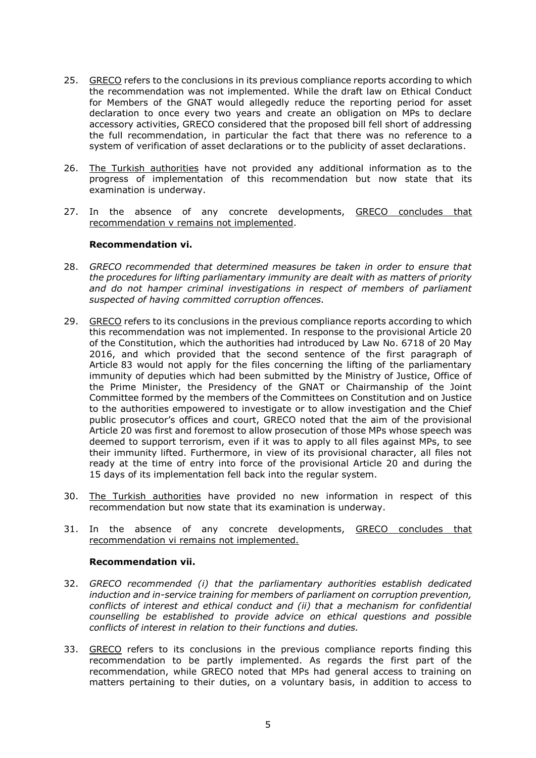- 25. GRECO refers to the conclusions in its previous compliance reports according to which the recommendation was not implemented. While the draft law on Ethical Conduct for Members of the GNAT would allegedly reduce the reporting period for asset declaration to once every two years and create an obligation on MPs to declare accessory activities, GRECO considered that the proposed bill fell short of addressing the full recommendation, in particular the fact that there was no reference to a system of verification of asset declarations or to the publicity of asset declarations.
- 26. The Turkish authorities have not provided any additional information as to the progress of implementation of this recommendation but now state that its examination is underway.
- 27. In the absence of any concrete developments, GRECO concludes that recommendation v remains not implemented.

#### **Recommendation vi.**

- 28. *GRECO recommended that determined measures be taken in order to ensure that the procedures for lifting parliamentary immunity are dealt with as matters of priority and do not hamper criminal investigations in respect of members of parliament suspected of having committed corruption offences.*
- 29. GRECO refers to its conclusions in the previous compliance reports according to which this recommendation was not implemented. In response to the provisional Article 20 of the Constitution, which the authorities had introduced by Law No. 6718 of 20 May 2016, and which provided that the second sentence of the first paragraph of Article 83 would not apply for the files concerning the lifting of the parliamentary immunity of deputies which had been submitted by the Ministry of Justice, Office of the Prime Minister, the Presidency of the GNAT or Chairmanship of the Joint Committee formed by the members of the Committees on Constitution and on Justice to the authorities empowered to investigate or to allow investigation and the Chief public prosecutor's offices and court, GRECO noted that the aim of the provisional Article 20 was first and foremost to allow prosecution of those MPs whose speech was deemed to support terrorism, even if it was to apply to all files against MPs, to see their immunity lifted. Furthermore, in view of its provisional character, all files not ready at the time of entry into force of the provisional Article 20 and during the 15 days of its implementation fell back into the regular system.
- 30. The Turkish authorities have provided no new information in respect of this recommendation but now state that its examination is underway.
- 31. In the absence of any concrete developments, GRECO concludes that recommendation vi remains not implemented.

#### **Recommendation vii.**

- 32. *GRECO recommended (i) that the parliamentary authorities establish dedicated induction and in-service training for members of parliament on corruption prevention, conflicts of interest and ethical conduct and (ii) that a mechanism for confidential counselling be established to provide advice on ethical questions and possible conflicts of interest in relation to their functions and duties.*
- 33. GRECO refers to its conclusions in the previous compliance reports finding this recommendation to be partly implemented. As regards the first part of the recommendation, while GRECO noted that MPs had general access to training on matters pertaining to their duties, on a voluntary basis, in addition to access to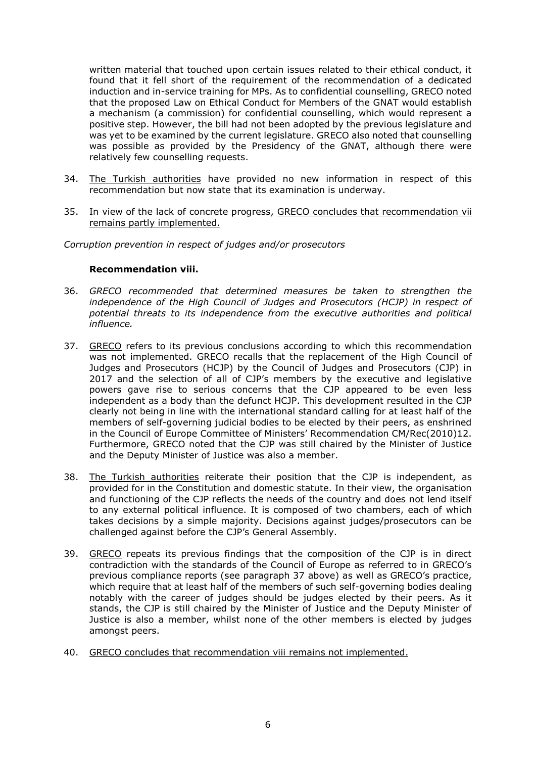written material that touched upon certain issues related to their ethical conduct, it found that it fell short of the requirement of the recommendation of a dedicated induction and in-service training for MPs. As to confidential counselling, GRECO noted that the proposed Law on Ethical Conduct for Members of the GNAT would establish a mechanism (a commission) for confidential counselling, which would represent a positive step. However, the bill had not been adopted by the previous legislature and was yet to be examined by the current legislature. GRECO also noted that counselling was possible as provided by the Presidency of the GNAT, although there were relatively few counselling requests.

- 34. The Turkish authorities have provided no new information in respect of this recommendation but now state that its examination is underway.
- 35. In view of the lack of concrete progress, GRECO concludes that recommendation vii remains partly implemented.

*Corruption prevention in respect of judges and/or prosecutors*

#### **Recommendation viii.**

- 36. *GRECO recommended that determined measures be taken to strengthen the independence of the High Council of Judges and Prosecutors (HCJP) in respect of potential threats to its independence from the executive authorities and political influence.*
- 37. GRECO refers to its previous conclusions according to which this recommendation was not implemented. GRECO recalls that the replacement of the High Council of Judges and Prosecutors (HCJP) by the Council of Judges and Prosecutors (CJP) in 2017 and the selection of all of CJP's members by the executive and legislative powers gave rise to serious concerns that the CJP appeared to be even less independent as a body than the defunct HCJP. This development resulted in the CJP clearly not being in line with the international standard calling for at least half of the members of self-governing judicial bodies to be elected by their peers, as enshrined in the Council of Europe Committee of Ministers' Recommendation CM/Rec(2010)12. Furthermore, GRECO noted that the CJP was still chaired by the Minister of Justice and the Deputy Minister of Justice was also a member.
- 38. The Turkish authorities reiterate their position that the CJP is independent, as provided for in the Constitution and domestic statute. In their view, the organisation and functioning of the CJP reflects the needs of the country and does not lend itself to any external political influence. It is composed of two chambers, each of which takes decisions by a simple majority. Decisions against judges/prosecutors can be challenged against before the CJP's General Assembly.
- 39. GRECO repeats its previous findings that the composition of the CJP is in direct contradiction with the standards of the Council of Europe as referred to in GRECO's previous compliance reports (see paragraph 37 above) as well as GRECO's practice, which require that at least half of the members of such self-governing bodies dealing notably with the career of judges should be judges elected by their peers. As it stands, the CJP is still chaired by the Minister of Justice and the Deputy Minister of Justice is also a member, whilst none of the other members is elected by judges amongst peers.
- 40. GRECO concludes that recommendation viii remains not implemented.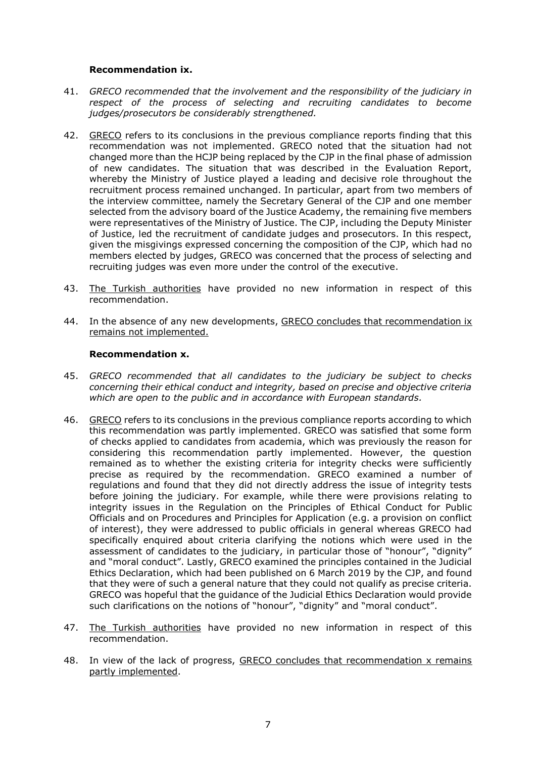#### **Recommendation ix.**

- 41. *GRECO recommended that the involvement and the responsibility of the judiciary in respect of the process of selecting and recruiting candidates to become judges/prosecutors be considerably strengthened.*
- 42. GRECO refers to its conclusions in the previous compliance reports finding that this recommendation was not implemented. GRECO noted that the situation had not changed more than the HCJP being replaced by the CJP in the final phase of admission of new candidates. The situation that was described in the Evaluation Report, whereby the Ministry of Justice played a leading and decisive role throughout the recruitment process remained unchanged. In particular, apart from two members of the interview committee, namely the Secretary General of the CJP and one member selected from the advisory board of the Justice Academy, the remaining five members were representatives of the Ministry of Justice. The CJP, including the Deputy Minister of Justice, led the recruitment of candidate judges and prosecutors. In this respect, given the misgivings expressed concerning the composition of the CJP, which had no members elected by judges, GRECO was concerned that the process of selecting and recruiting judges was even more under the control of the executive.
- 43. The Turkish authorities have provided no new information in respect of this recommendation.
- 44. In the absence of any new developments, GRECO concludes that recommendation ix remains not implemented.

#### **Recommendation x.**

- 45. *GRECO recommended that all candidates to the judiciary be subject to checks concerning their ethical conduct and integrity, based on precise and objective criteria which are open to the public and in accordance with European standards.*
- 46. GRECO refers to its conclusions in the previous compliance reports according to which this recommendation was partly implemented. GRECO was satisfied that some form of checks applied to candidates from academia, which was previously the reason for considering this recommendation partly implemented. However, the question remained as to whether the existing criteria for integrity checks were sufficiently precise as required by the recommendation. GRECO examined a number of regulations and found that they did not directly address the issue of integrity tests before joining the judiciary. For example, while there were provisions relating to integrity issues in the Regulation on the Principles of Ethical Conduct for Public Officials and on Procedures and Principles for Application (e.g. a provision on conflict of interest), they were addressed to public officials in general whereas GRECO had specifically enquired about criteria clarifying the notions which were used in the assessment of candidates to the judiciary, in particular those of "honour", "dignity" and "moral conduct". Lastly, GRECO examined the principles contained in the Judicial Ethics Declaration, which had been published on 6 March 2019 by the CJP, and found that they were of such a general nature that they could not qualify as precise criteria. GRECO was hopeful that the guidance of the Judicial Ethics Declaration would provide such clarifications on the notions of "honour", "dignity" and "moral conduct".
- 47. The Turkish authorities have provided no new information in respect of this recommendation.
- 48. In view of the lack of progress, GRECO concludes that recommendation x remains partly implemented.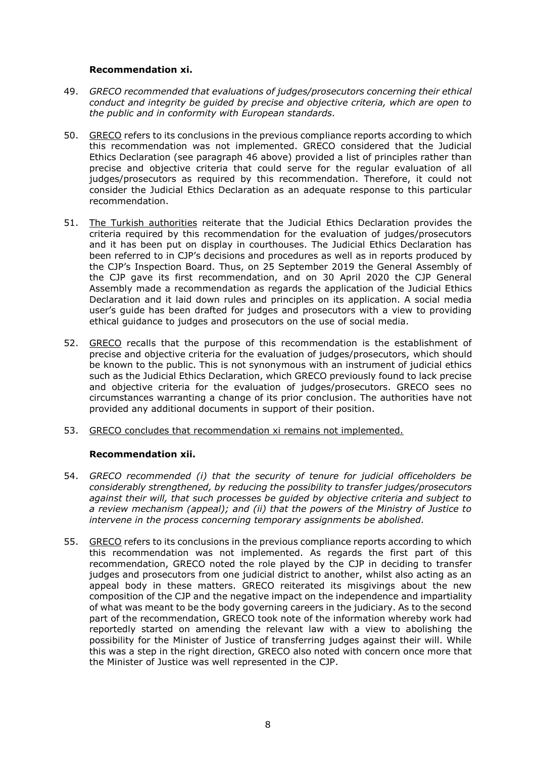#### **Recommendation xi.**

- 49. *GRECO recommended that evaluations of judges/prosecutors concerning their ethical conduct and integrity be guided by precise and objective criteria, which are open to the public and in conformity with European standards.*
- 50. GRECO refers to its conclusions in the previous compliance reports according to which this recommendation was not implemented. GRECO considered that the Judicial Ethics Declaration (see paragraph 46 above) provided a list of principles rather than precise and objective criteria that could serve for the regular evaluation of all judges/prosecutors as required by this recommendation. Therefore, it could not consider the Judicial Ethics Declaration as an adequate response to this particular recommendation.
- 51. The Turkish authorities reiterate that the Judicial Ethics Declaration provides the criteria required by this recommendation for the evaluation of judges/prosecutors and it has been put on display in courthouses. The Judicial Ethics Declaration has been referred to in CJP's decisions and procedures as well as in reports produced by the CJP's Inspection Board. Thus, on 25 September 2019 the General Assembly of the CJP gave its first recommendation, and on 30 April 2020 the CJP General Assembly made a recommendation as regards the application of the Judicial Ethics Declaration and it laid down rules and principles on its application. A social media user's guide has been drafted for judges and prosecutors with a view to providing ethical guidance to judges and prosecutors on the use of social media.
- 52. GRECO recalls that the purpose of this recommendation is the establishment of precise and objective criteria for the evaluation of judges/prosecutors, which should be known to the public. This is not synonymous with an instrument of judicial ethics such as the Judicial Ethics Declaration, which GRECO previously found to lack precise and objective criteria for the evaluation of judges/prosecutors. GRECO sees no circumstances warranting a change of its prior conclusion. The authorities have not provided any additional documents in support of their position.
- 53. GRECO concludes that recommendation xi remains not implemented.

# **Recommendation xii.**

- 54. *GRECO recommended (i) that the security of tenure for judicial officeholders be considerably strengthened, by reducing the possibility to transfer judges/prosecutors against their will, that such processes be guided by objective criteria and subject to a review mechanism (appeal); and (ii) that the powers of the Ministry of Justice to intervene in the process concerning temporary assignments be abolished.*
- 55. GRECO refers to its conclusions in the previous compliance reports according to which this recommendation was not implemented. As regards the first part of this recommendation, GRECO noted the role played by the CJP in deciding to transfer judges and prosecutors from one judicial district to another, whilst also acting as an appeal body in these matters. GRECO reiterated its misgivings about the new composition of the CJP and the negative impact on the independence and impartiality of what was meant to be the body governing careers in the judiciary. As to the second part of the recommendation, GRECO took note of the information whereby work had reportedly started on amending the relevant law with a view to abolishing the possibility for the Minister of Justice of transferring judges against their will. While this was a step in the right direction, GRECO also noted with concern once more that the Minister of Justice was well represented in the CJP.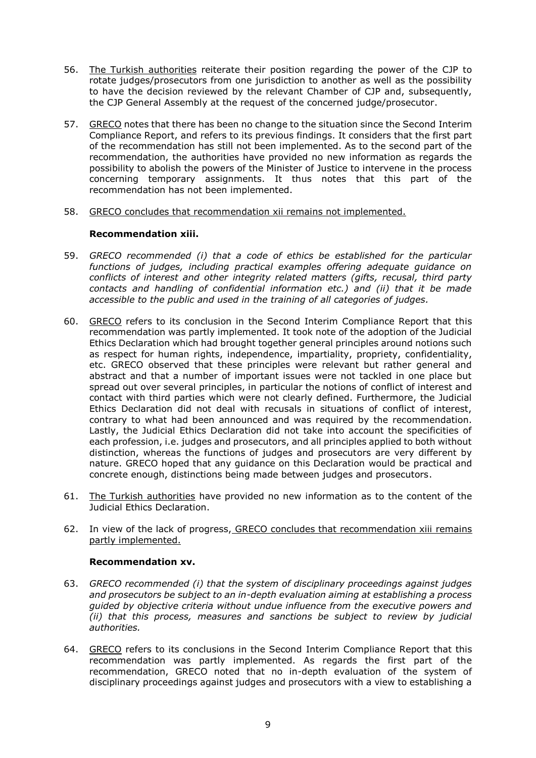- 56. The Turkish authorities reiterate their position regarding the power of the CJP to rotate judges/prosecutors from one jurisdiction to another as well as the possibility to have the decision reviewed by the relevant Chamber of CJP and, subsequently, the CJP General Assembly at the request of the concerned judge/prosecutor.
- 57. GRECO notes that there has been no change to the situation since the Second Interim Compliance Report, and refers to its previous findings. It considers that the first part of the recommendation has still not been implemented. As to the second part of the recommendation, the authorities have provided no new information as regards the possibility to abolish the powers of the Minister of Justice to intervene in the process concerning temporary assignments. It thus notes that this part of the recommendation has not been implemented.
- 58. GRECO concludes that recommendation xii remains not implemented.

#### **Recommendation xiii.**

- 59. *GRECO recommended (i) that a code of ethics be established for the particular functions of judges, including practical examples offering adequate guidance on conflicts of interest and other integrity related matters (gifts, recusal, third party contacts and handling of confidential information etc.) and (ii) that it be made accessible to the public and used in the training of all categories of judges.*
- 60. GRECO refers to its conclusion in the Second Interim Compliance Report that this recommendation was partly implemented. It took note of the adoption of the Judicial Ethics Declaration which had brought together general principles around notions such as respect for human rights, independence, impartiality, propriety, confidentiality, etc. GRECO observed that these principles were relevant but rather general and abstract and that a number of important issues were not tackled in one place but spread out over several principles, in particular the notions of conflict of interest and contact with third parties which were not clearly defined. Furthermore, the Judicial Ethics Declaration did not deal with recusals in situations of conflict of interest, contrary to what had been announced and was required by the recommendation. Lastly, the Judicial Ethics Declaration did not take into account the specificities of each profession, i.e. judges and prosecutors, and all principles applied to both without distinction, whereas the functions of judges and prosecutors are very different by nature. GRECO hoped that any guidance on this Declaration would be practical and concrete enough, distinctions being made between judges and prosecutors.
- 61. The Turkish authorities have provided no new information as to the content of the Judicial Ethics Declaration.
- 62. In view of the lack of progress, GRECO concludes that recommendation xiii remains partly implemented.

#### **Recommendation xv.**

- 63. *GRECO recommended (i) that the system of disciplinary proceedings against judges and prosecutors be subject to an in-depth evaluation aiming at establishing a process guided by objective criteria without undue influence from the executive powers and (ii) that this process, measures and sanctions be subject to review by judicial authorities.*
- 64. GRECO refers to its conclusions in the Second Interim Compliance Report that this recommendation was partly implemented. As regards the first part of the recommendation, GRECO noted that no in-depth evaluation of the system of disciplinary proceedings against judges and prosecutors with a view to establishing a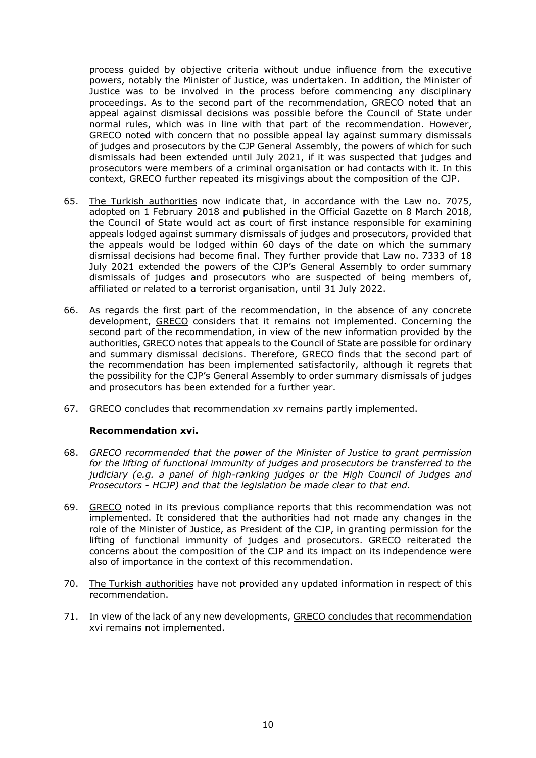process guided by objective criteria without undue influence from the executive powers, notably the Minister of Justice, was undertaken. In addition, the Minister of Justice was to be involved in the process before commencing any disciplinary proceedings. As to the second part of the recommendation, GRECO noted that an appeal against dismissal decisions was possible before the Council of State under normal rules, which was in line with that part of the recommendation. However, GRECO noted with concern that no possible appeal lay against summary dismissals of judges and prosecutors by the CJP General Assembly, the powers of which for such dismissals had been extended until July 2021, if it was suspected that judges and prosecutors were members of a criminal organisation or had contacts with it. In this context, GRECO further repeated its misgivings about the composition of the CJP.

- 65. The Turkish authorities now indicate that, in accordance with the Law no. 7075, adopted on 1 February 2018 and published in the Official Gazette on 8 March 2018, the Council of State would act as court of first instance responsible for examining appeals lodged against summary dismissals of judges and prosecutors, provided that the appeals would be lodged within 60 days of the date on which the summary dismissal decisions had become final. They further provide that Law no. 7333 of 18 July 2021 extended the powers of the CJP's General Assembly to order summary dismissals of judges and prosecutors who are suspected of being members of, affiliated or related to a terrorist organisation, until 31 July 2022.
- 66. As regards the first part of the recommendation, in the absence of any concrete development, GRECO considers that it remains not implemented. Concerning the second part of the recommendation, in view of the new information provided by the authorities, GRECO notes that appeals to the Council of State are possible for ordinary and summary dismissal decisions. Therefore, GRECO finds that the second part of the recommendation has been implemented satisfactorily, although it regrets that the possibility for the CJP's General Assembly to order summary dismissals of judges and prosecutors has been extended for a further year.
- 67. GRECO concludes that recommendation xv remains partly implemented.

#### **Recommendation xvi.**

- 68. *GRECO recommended that the power of the Minister of Justice to grant permission for the lifting of functional immunity of judges and prosecutors be transferred to the judiciary (e.g. a panel of high-ranking judges or the High Council of Judges and Prosecutors - HCJP) and that the legislation be made clear to that end.*
- 69. GRECO noted in its previous compliance reports that this recommendation was not implemented. It considered that the authorities had not made any changes in the role of the Minister of Justice, as President of the CJP, in granting permission for the lifting of functional immunity of judges and prosecutors. GRECO reiterated the concerns about the composition of the CJP and its impact on its independence were also of importance in the context of this recommendation.
- 70. The Turkish authorities have not provided any updated information in respect of this recommendation.
- 71. In view of the lack of any new developments, GRECO concludes that recommendation xvi remains not implemented.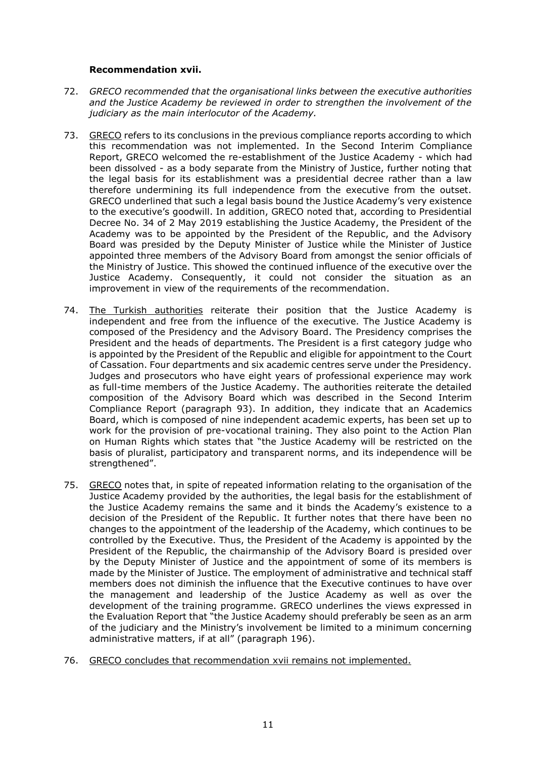#### **Recommendation xvii.**

- 72. *GRECO recommended that the organisational links between the executive authorities and the Justice Academy be reviewed in order to strengthen the involvement of the judiciary as the main interlocutor of the Academy.*
- 73. GRECO refers to its conclusions in the previous compliance reports according to which this recommendation was not implemented. In the Second Interim Compliance Report, GRECO welcomed the re-establishment of the Justice Academy - which had been dissolved - as a body separate from the Ministry of Justice, further noting that the legal basis for its establishment was a presidential decree rather than a law therefore undermining its full independence from the executive from the outset. GRECO underlined that such a legal basis bound the Justice Academy's very existence to the executive's goodwill. In addition, GRECO noted that, according to Presidential Decree No. 34 of 2 May 2019 establishing the Justice Academy, the President of the Academy was to be appointed by the President of the Republic, and the Advisory Board was presided by the Deputy Minister of Justice while the Minister of Justice appointed three members of the Advisory Board from amongst the senior officials of the Ministry of Justice. This showed the continued influence of the executive over the Justice Academy. Consequently, it could not consider the situation as an improvement in view of the requirements of the recommendation.
- 74. The Turkish authorities reiterate their position that the Justice Academy is independent and free from the influence of the executive. The Justice Academy is composed of the Presidency and the Advisory Board. The Presidency comprises the President and the heads of departments. The President is a first category judge who is appointed by the President of the Republic and eligible for appointment to the Court of Cassation. Four departments and six academic centres serve under the Presidency. Judges and prosecutors who have eight years of professional experience may work as full-time members of the Justice Academy. The authorities reiterate the detailed composition of the Advisory Board which was described in the Second Interim Compliance Report (paragraph 93). In addition, they indicate that an Academics Board, which is composed of nine independent academic experts, has been set up to work for the provision of pre-vocational training. They also point to the Action Plan on Human Rights which states that "the Justice Academy will be restricted on the basis of pluralist, participatory and transparent norms, and its independence will be strengthened".
- 75. GRECO notes that, in spite of repeated information relating to the organisation of the Justice Academy provided by the authorities, the legal basis for the establishment of the Justice Academy remains the same and it binds the Academy's existence to a decision of the President of the Republic. It further notes that there have been no changes to the appointment of the leadership of the Academy, which continues to be controlled by the Executive. Thus, the President of the Academy is appointed by the President of the Republic, the chairmanship of the Advisory Board is presided over by the Deputy Minister of Justice and the appointment of some of its members is made by the Minister of Justice. The employment of administrative and technical staff members does not diminish the influence that the Executive continues to have over the management and leadership of the Justice Academy as well as over the development of the training programme. GRECO underlines the views expressed in the Evaluation Report that "the Justice Academy should preferably be seen as an arm of the judiciary and the Ministry's involvement be limited to a minimum concerning administrative matters, if at all" (paragraph 196).
- 76. GRECO concludes that recommendation xvii remains not implemented.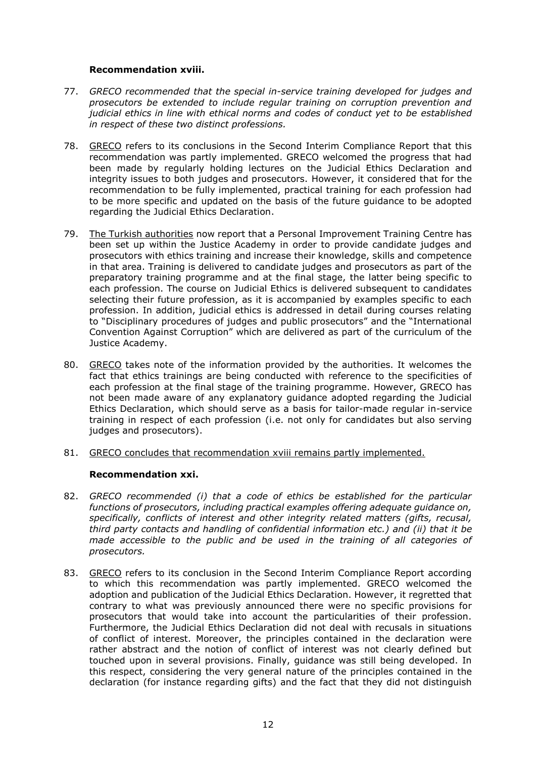#### **Recommendation xviii.**

- 77. *GRECO recommended that the special in-service training developed for judges and prosecutors be extended to include regular training on corruption prevention and judicial ethics in line with ethical norms and codes of conduct yet to be established in respect of these two distinct professions.*
- 78. GRECO refers to its conclusions in the Second Interim Compliance Report that this recommendation was partly implemented. GRECO welcomed the progress that had been made by regularly holding lectures on the Judicial Ethics Declaration and integrity issues to both judges and prosecutors. However, it considered that for the recommendation to be fully implemented, practical training for each profession had to be more specific and updated on the basis of the future guidance to be adopted regarding the Judicial Ethics Declaration.
- 79. The Turkish authorities now report that a Personal Improvement Training Centre has been set up within the Justice Academy in order to provide candidate judges and prosecutors with ethics training and increase their knowledge, skills and competence in that area. Training is delivered to candidate judges and prosecutors as part of the preparatory training programme and at the final stage, the latter being specific to each profession. The course on Judicial Ethics is delivered subsequent to candidates selecting their future profession, as it is accompanied by examples specific to each profession. In addition, judicial ethics is addressed in detail during courses relating to "Disciplinary procedures of judges and public prosecutors" and the "International Convention Against Corruption" which are delivered as part of the curriculum of the Justice Academy.
- 80. GRECO takes note of the information provided by the authorities. It welcomes the fact that ethics trainings are being conducted with reference to the specificities of each profession at the final stage of the training programme. However, GRECO has not been made aware of any explanatory guidance adopted regarding the Judicial Ethics Declaration, which should serve as a basis for tailor-made regular in-service training in respect of each profession (i.e. not only for candidates but also serving judges and prosecutors).
- 81. GRECO concludes that recommendation xviii remains partly implemented.

# **Recommendation xxi.**

- 82. *GRECO recommended (i) that a code of ethics be established for the particular functions of prosecutors, including practical examples offering adequate guidance on, specifically, conflicts of interest and other integrity related matters (gifts, recusal, third party contacts and handling of confidential information etc.) and (ii) that it be made accessible to the public and be used in the training of all categories of prosecutors.*
- 83. GRECO refers to its conclusion in the Second Interim Compliance Report according to which this recommendation was partly implemented. GRECO welcomed the adoption and publication of the Judicial Ethics Declaration. However, it regretted that contrary to what was previously announced there were no specific provisions for prosecutors that would take into account the particularities of their profession. Furthermore, the Judicial Ethics Declaration did not deal with recusals in situations of conflict of interest. Moreover, the principles contained in the declaration were rather abstract and the notion of conflict of interest was not clearly defined but touched upon in several provisions. Finally, guidance was still being developed. In this respect, considering the very general nature of the principles contained in the declaration (for instance regarding gifts) and the fact that they did not distinguish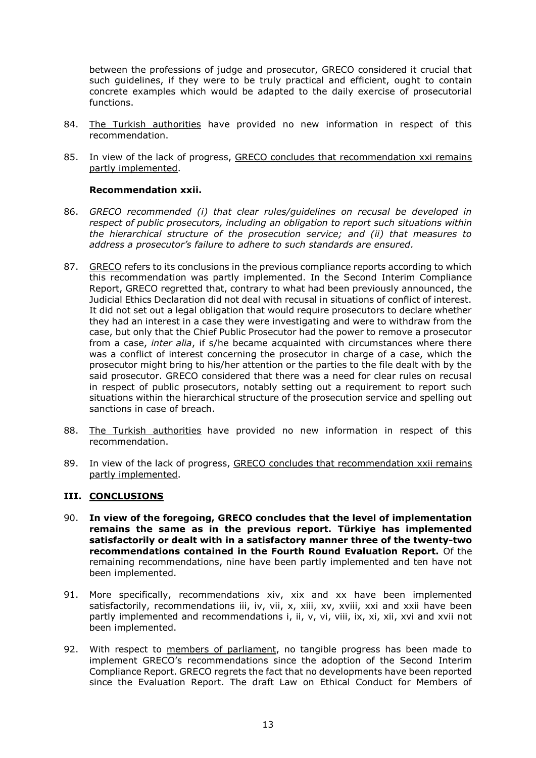between the professions of judge and prosecutor, GRECO considered it crucial that such guidelines, if they were to be truly practical and efficient, ought to contain concrete examples which would be adapted to the daily exercise of prosecutorial functions.

- 84. The Turkish authorities have provided no new information in respect of this recommendation.
- 85. In view of the lack of progress, GRECO concludes that recommendation xxi remains partly implemented.

#### **Recommendation xxii.**

- 86. *GRECO recommended (i) that clear rules/guidelines on recusal be developed in respect of public prosecutors, including an obligation to report such situations within the hierarchical structure of the prosecution service; and (ii) that measures to address a prosecutor's failure to adhere to such standards are ensured.*
- 87. GRECO refers to its conclusions in the previous compliance reports according to which this recommendation was partly implemented. In the Second Interim Compliance Report, GRECO regretted that, contrary to what had been previously announced, the Judicial Ethics Declaration did not deal with recusal in situations of conflict of interest. It did not set out a legal obligation that would require prosecutors to declare whether they had an interest in a case they were investigating and were to withdraw from the case, but only that the Chief Public Prosecutor had the power to remove a prosecutor from a case, *inter alia*, if s/he became acquainted with circumstances where there was a conflict of interest concerning the prosecutor in charge of a case, which the prosecutor might bring to his/her attention or the parties to the file dealt with by the said prosecutor. GRECO considered that there was a need for clear rules on recusal in respect of public prosecutors, notably setting out a requirement to report such situations within the hierarchical structure of the prosecution service and spelling out sanctions in case of breach.
- 88. The Turkish authorities have provided no new information in respect of this recommendation.
- 89. In view of the lack of progress, GRECO concludes that recommendation xxii remains partly implemented.

# **III. CONCLUSIONS**

- 90. **In view of the foregoing, GRECO concludes that the level of implementation remains the same as in the previous report. Türkiye has implemented satisfactorily or dealt with in a satisfactory manner three of the twenty-two recommendations contained in the Fourth Round Evaluation Report.** Of the remaining recommendations, nine have been partly implemented and ten have not been implemented.
- 91. More specifically, recommendations xiv, xix and xx have been implemented satisfactorily, recommendations iii, iv, vii, x, xiii, xv, xviii, xxi and xxii have been partly implemented and recommendations i, ii, v, vi, viii, ix, xi, xii, xvi and xvii not been implemented.
- 92. With respect to members of parliament, no tangible progress has been made to implement GRECO's recommendations since the adoption of the Second Interim Compliance Report. GRECO regrets the fact that no developments have been reported since the Evaluation Report. The draft Law on Ethical Conduct for Members of